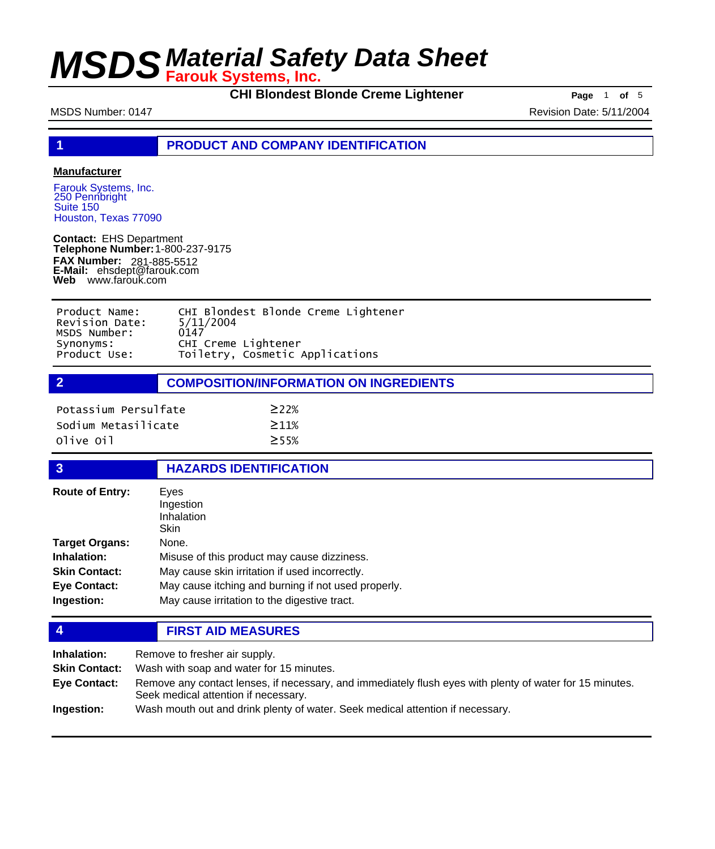**CHI Blondest Blonde Creme Lightener Page** 1 of 5

MSDS Number: 0147 **MSDS Number: 0147** Revision Date: 5/11/2004

**1 PRODUCT AND COMPANY IDENTIFICATION**

### **Manufacturer**

Farouk Systems, Inc. 250 Pennbright Suite 150 Houston, Texas 77090

**Contact:** EHS Department **Telephone Number:** 1-800-237-9175 **FAX Number: FAX Number:** 281-885-5512<br>**E-Mail:** ehsdept@farouk.com **Web** www.farouk.com

| Product Name:  | CHI Blondest Blonde Creme Lightener |
|----------------|-------------------------------------|
| Revision Date: | 5/11/2004                           |
| MSDS Number:   | 0147                                |
| Synonyms:      | CHI Creme Lightener                 |
| Product Use:   | Toiletry, Cosmetic Applications     |

**2 COMPOSITION/INFORMATION ON INGREDIENTS**

| Potassium Persulfate | $\geq$ 22%  |
|----------------------|-------------|
| Sodium Metasilicate  | $\geq$ 11%  |
| olive oil            | $\geq$ 5.5% |

| $\overline{3}$                    | <b>HAZARDS IDENTIFICATION</b>                                                                       |  |
|-----------------------------------|-----------------------------------------------------------------------------------------------------|--|
| <b>Route of Entry:</b>            | Eyes<br>Ingestion<br>Inhalation<br><b>Skin</b>                                                      |  |
| <b>Target Organs:</b>             | None.                                                                                               |  |
| Inhalation:                       | Misuse of this product may cause dizziness.                                                         |  |
| <b>Skin Contact:</b>              | May cause skin irritation if used incorrectly.                                                      |  |
| <b>Eye Contact:</b><br>Ingestion: | May cause itching and burning if not used properly.<br>May cause irritation to the digestive tract. |  |

**4 FIRST AID MEASURES**

| Inhalation:          | Remove to fresher air supply.                                                                                                                    |
|----------------------|--------------------------------------------------------------------------------------------------------------------------------------------------|
| <b>Skin Contact:</b> | Wash with soap and water for 15 minutes.                                                                                                         |
| <b>Eve Contact:</b>  | Remove any contact lenses, if necessary, and immediately flush eyes with plenty of water for 15 minutes.<br>Seek medical attention if necessary. |
| Ingestion:           | Wash mouth out and drink plenty of water. Seek medical attention if necessary.                                                                   |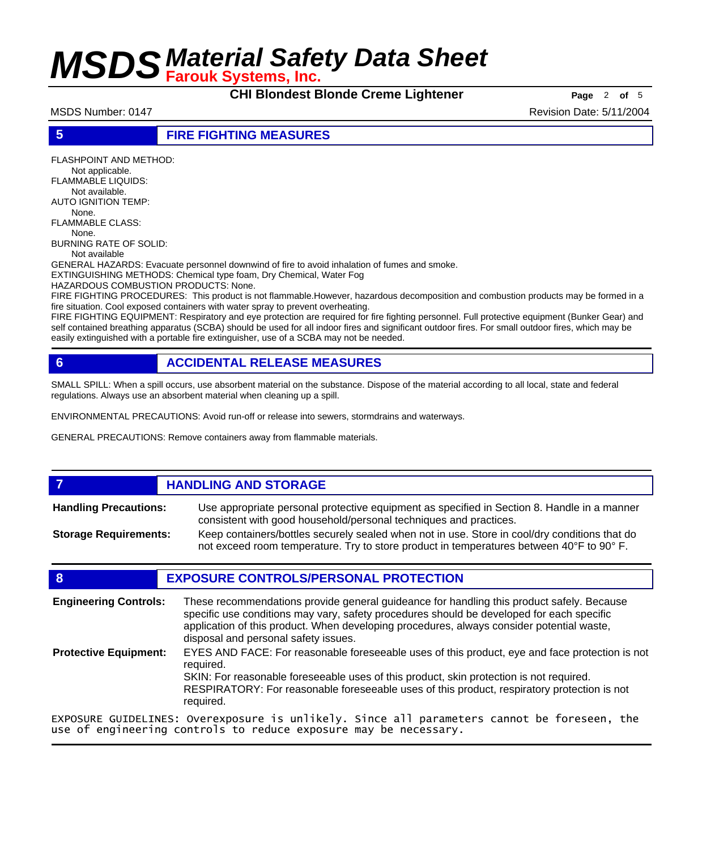**CHI Blondest Blonde Creme Lightener Page** 2 of 5

MSDS Number: 0147 Revision Date: 5/11/2004

**5 FIRE FIGHTING MEASURES**

FLASHPOINT AND METHOD: Not applicable. FLAMMABLE LIQUIDS: Not available. AUTO IGNITION TEMP: None. FLAMMABLE CLASS: None. BURNING RATE OF SOLID: Not available GENERAL HAZARDS: Evacuate personnel downwind of fire to avoid inhalation of fumes and smoke. EXTINGUISHING METHODS: Chemical type foam, Dry Chemical, Water Fog HAZARDOUS COMBUSTION PRODUCTS: None. FIRE FIGHTING PROCEDURES: This product is not flammable.However, hazardous decomposition and combustion products may be formed in a fire situation. Cool exposed containers with water spray to prevent overheating. FIRE FIGHTING EQUIPMENT: Respiratory and eye protection are required for fire fighting personnel. Full protective equipment (Bunker Gear) and

self contained breathing apparatus (SCBA) should be used for all indoor fires and significant outdoor fires. For small outdoor fires, which may be easily extinguished with a portable fire extinguisher, use of a SCBA may not be needed.

### **6 ACCIDENTAL RELEASE MEASURES**

SMALL SPILL: When a spill occurs, use absorbent material on the substance. Dispose of the material according to all local, state and federal regulations. Always use an absorbent material when cleaning up a spill.

ENVIRONMENTAL PRECAUTIONS: Avoid run-off or release into sewers, stormdrains and waterways.

GENERAL PRECAUTIONS: Remove containers away from flammable materials.

#### **7 HANDLING AND STORAGE** Use appropriate personal protective equipment as specified in Section 8. Handle in a manner consistent with good household/personal techniques and practices. **Handling Precautions:** Keep containers/bottles securely sealed when not in use. Store in cool/dry conditions that do not exceed room temperature. Try to store product in temperatures between 40°F to 90° F. **Storage Requirements:**

### **8 EXPOSURE CONTROLS/PERSONAL PROTECTION**

These recommendations provide general guideance for handling this product safely. Because specific use conditions may vary, safety procedures should be developed for each specific application of this product. When developing procedures, always consider potential waste, disposal and personal safety issues. **Engineering Controls:** EYES AND FACE: For reasonable foreseeable uses of this product, eye and face protection is not required. SKIN: For reasonable foreseeable uses of this product, skin protection is not required. RESPIRATORY: For reasonable foreseeable uses of this product, respiratory protection is not required. **Protective Equipment:** EXPOSURE GUIDELINES: Overexposure is unlikely. Since all parameters cannot be foreseen, the use of engineering controls to reduce exposure may be necessary.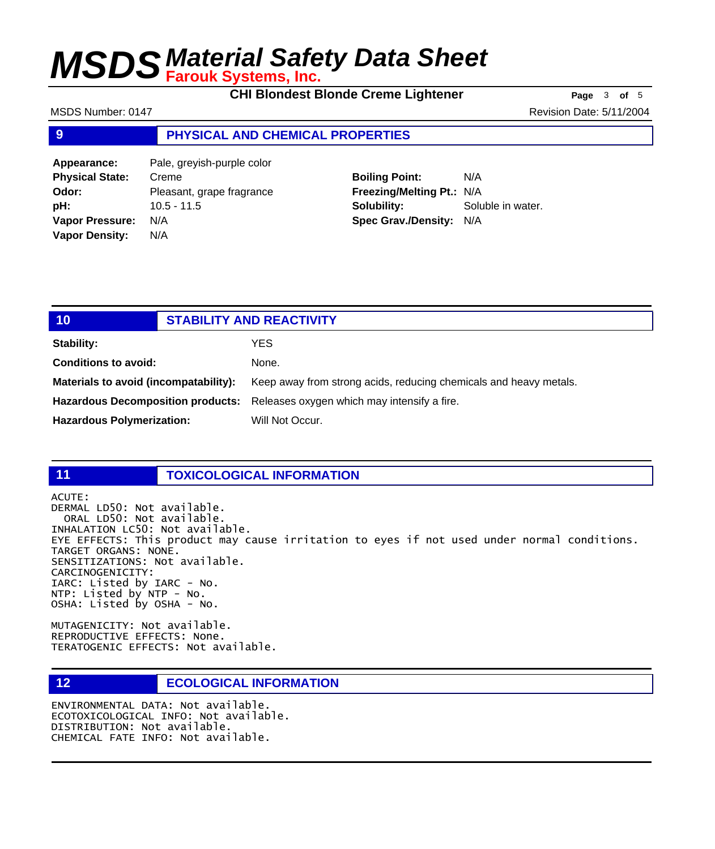**CHI Blondest Blonde Creme Lightener Page** 3 of 5

MSDS Number: 0147 Revision Date: 5/11/2004

### **9 PHYSICAL AND CHEMICAL PROPERTIES**

**Appearance:** Pale, greyish-purple color **Physical State:** Creme **Odor:** Pleasant, grape fragrance **pH:** 10.5 - 11.5 **Vapor Pressure:** N/A **Vapor Density:** N/A

### **Boiling Point:** N/A **Freezing/Melting Pt.:** N/A **Solubility:** Soluble in water. **Spec Grav./Density:** N/A

| 10                                    | <b>STABILITY AND REACTIVITY</b>                                               |
|---------------------------------------|-------------------------------------------------------------------------------|
| <b>Stability:</b>                     | YES.                                                                          |
| <b>Conditions to avoid:</b>           | None.                                                                         |
| Materials to avoid (incompatability): | Keep away from strong acids, reducing chemicals and heavy metals.             |
|                                       | Hazardous Decomposition products: Releases oxygen which may intensify a fire. |
| <b>Hazardous Polymerization:</b>      | Will Not Occur.                                                               |

### **11 TOXICOLOGICAL INFORMATION**

ACUTE: DERMAL LD50: Not available. ORAL LD50: Not available. INHALATION LC50: Not available. EYE EFFECTS: This product may cause irritation to eyes if not used under normal conditions. TARGET ORGANS: NONE. SENSITIZATIONS: Not available. CARCINOGENICITY: IARC: Listed by IARC - No. NTP: Listed by NTP - No. OSHA: Listed by OSHA - No.

MUTAGENICITY: Not available. REPRODUCTIVE EFFECTS: None. TERATOGENIC EFFECTS: Not available.

### **12 ECOLOGICAL INFORMATION**

ENVIRONMENTAL DATA: Not available. ECOTOXICOLOGICAL INFO: Not available. DISTRIBUTION: Not available. CHEMICAL FATE INFO: Not available.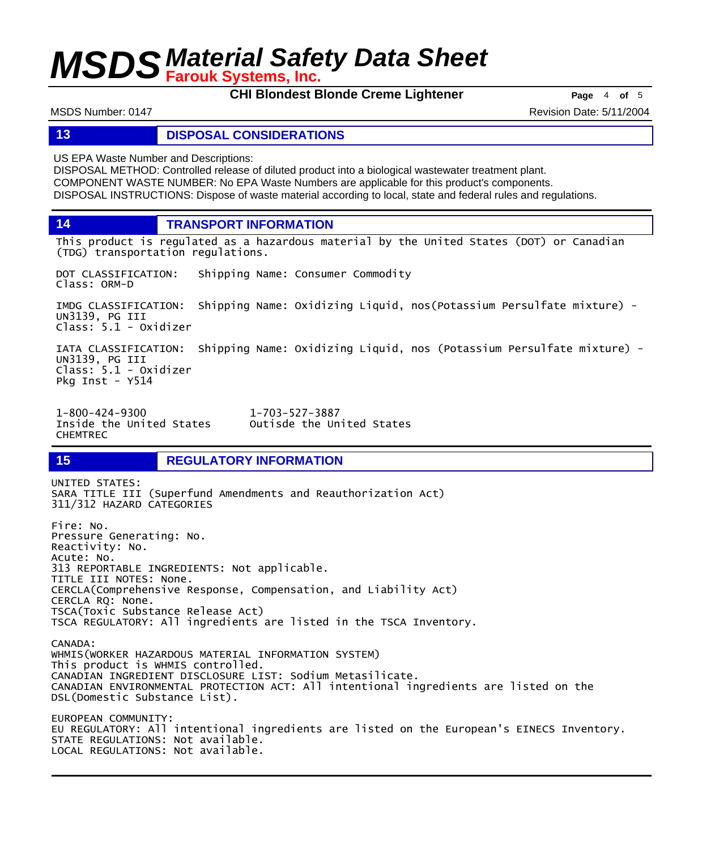**CHI Blondest Blonde Creme Lightener Page** 4 of 5

MSDS Number: 0147 Revision Date: 5/11/2004

Class: 5.1 - Oxidizer

### **13 DISPOSAL CONSIDERATIONS**

US EPA Waste Number and Descriptions:

DISPOSAL METHOD: Controlled release of diluted product into a biological wastewater treatment plant. COMPONENT WASTE NUMBER: No EPA Waste Numbers are applicable for this product's components. DISPOSAL INSTRUCTIONS: Dispose of waste material according to local, state and federal rules and regulations.

**14 TRANSPORT INFORMATION**

This product is regulated as a hazardous material by the United States (DOT) or Canadian (TDG) transportation regulations.

DOT CLASSIFICATION: Shipping Name: Consumer Commodity Class: ORM-D IMDG CLASSIFICATION: Shipping Name: Oxidizing Liquid, nos(Potassium Persulfate mixture) - UN3139, PG III

IATA CLASSIFICATION: Shipping Name: Oxidizing Liquid, nos (Potassium Persulfate mixture) - UN3139, PG III Class: 5.1 - Oxidizer Pkg Inst - Y514

1-800-424-9300 1-703-527-3887 Outisde the United States CHEMTREC

### **15 REGULATORY INFORMATION**

UNITED STATES: SARA TITLE III (Superfund Amendments and Reauthorization Act) 311/312 HAZARD CATEGORIES Fire: No. Pressure Generating: No. Reactivity: No. Acute: No. 313 REPORTABLE INGREDIENTS: Not applicable. TITLE III NOTES: None. CERCLA(Comprehensive Response, Compensation, and Liability Act) CERCLA RQ: None. TSCA(Toxic Substance Release Act) TSCA REGULATORY: All ingredients are listed in the TSCA Inventory. CANADA: WHMIS(WORKER HAZARDOUS MATERIAL INFORMATION SYSTEM) This product is WHMIS controlled. CANADIAN INGREDIENT DISCLOSURE LIST: Sodium Metasilicate. CANADIAN ENVIRONMENTAL PROTECTION ACT: All intentional ingredients are listed on the DSL(Domestic Substance List). EUROPEAN COMMUNITY: EU REGULATORY: All intentional ingredients are listed on the European's EINECS Inventory. STATE REGULATIONS: Not available. LOCAL REGULATIONS: Not available.